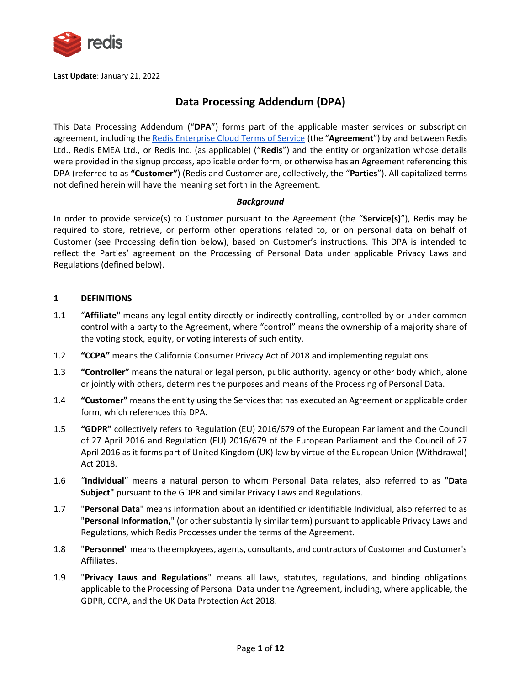

**Last Update**: January 21, 2022

# **Data Processing Addendum (DPA)**

This Data Processing Addendum ("**DPA**") forms part of the applicable master services or subscription agreement, including the [Redis Enterprise Cloud Terms of Service](https://redis.com/cloud-tos) (the "**Agreement**") by and between Redis Ltd., Redis EMEA Ltd., or Redis Inc. (as applicable) ("**Redis**") and the entity or organization whose details were provided in the signup process, applicable order form, or otherwise has an Agreement referencing this DPA (referred to as **"Customer"**) (Redis and Customer are, collectively, the "**Parties**"). All capitalized terms not defined herein will have the meaning set forth in the Agreement.

# *Background*

In order to provide service(s) to Customer pursuant to the Agreement (the "**Service(s)**"), Redis may be required to store, retrieve, or perform other operations related to, or on personal data on behalf of Customer (see Processing definition below), based on Customer's instructions. This DPA is intended to reflect the Parties' agreement on the Processing of Personal Data under applicable Privacy Laws and Regulations (defined below).

#### **1 DEFINITIONS**

- 1.1 "**Affiliate**" means any legal entity directly or indirectly controlling, controlled by or under common control with a party to the Agreement, where "control" means the ownership of a majority share of the voting stock, equity, or voting interests of such entity.
- 1.2 **"CCPA"** means the California Consumer Privacy Act of 2018 and implementing regulations.
- 1.3 **"Controller"** means the natural or legal person, public authority, agency or other body which, alone or jointly with others, determines the purposes and means of the Processing of Personal Data.
- 1.4 **"Customer"** means the entity using the Services that has executed an Agreement or applicable order form, which references this DPA.
- 1.5 **"GDPR"** collectively refers to Regulation (EU) 2016/679 of the European Parliament and the Council of 27 April 2016 and Regulation (EU) 2016/679 of the European Parliament and the Council of 27 April 2016 as it forms part of United Kingdom (UK) law by virtue of the European Union (Withdrawal) Act 2018.
- 1.6 "**Individual**" means a natural person to whom Personal Data relates, also referred to as **"Data Subject"** pursuant to the GDPR and similar Privacy Laws and Regulations.
- 1.7 "**Personal Data**" means information about an identified or identifiable Individual, also referred to as "**Personal Information,**" (or other substantially similar term) pursuant to applicable Privacy Laws and Regulations, which Redis Processes under the terms of the Agreement.
- 1.8 "**Personnel**" means the employees, agents, consultants, and contractors of Customer and Customer's Affiliates.
- 1.9 "**Privacy Laws and Regulations**" means all laws, statutes, regulations, and binding obligations applicable to the Processing of Personal Data under the Agreement, including, where applicable, the GDPR, CCPA, and the UK Data Protection Act 2018.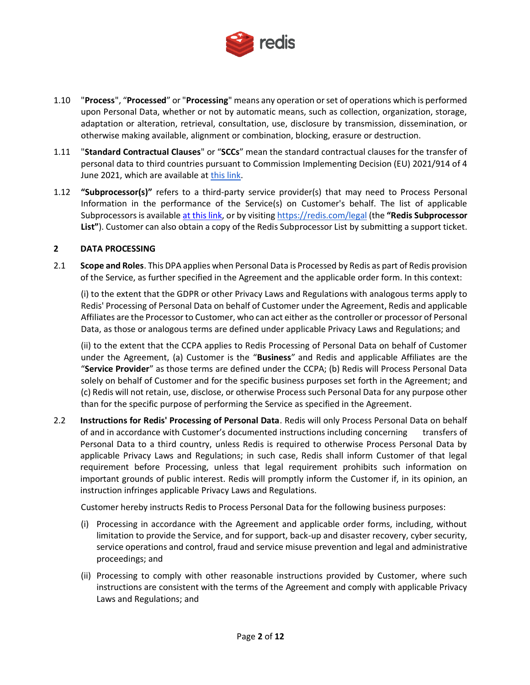

- 1.10 "**Process**", "**Processed**" or "**Processing**" means any operation or set of operations which is performed upon Personal Data, whether or not by automatic means, such as collection, organization, storage, adaptation or alteration, retrieval, consultation, use, disclosure by transmission, dissemination, or otherwise making available, alignment or combination, blocking, erasure or destruction.
- 1.11 "**Standard Contractual Clauses**" or "**SCCs**" mean the standard contractual clauses for the transfer of personal data to third countries pursuant to Commission Implementing Decision (EU) 2021/914 of 4 June 2021, which are available at [this link.](https://ec.europa.eu/info/system/files/1_en_annexe_acte_autonome_cp_part1_v5_0.pdf)
- 1.12 **"Subprocessor(s)"** refers to a third-party service provider(s) that may need to Process Personal Information in the performance of the Service(s) on Customer's behalf. The list of applicable Subprocessors is available at [this link,](https://redis.com/wp-content/uploads/2022/01/redis-subprocessors.pdf) or by visiting <https://redis.com/legal> (the **"Redis Subprocessor List"**). Customer can also obtain a copy of the Redis Subprocessor List by submitting a support ticket.

#### **2 DATA PROCESSING**

2.1 **Scope and Roles**. This DPA applies when Personal Data is Processed by Redis as part of Redis provision of the Service, as further specified in the Agreement and the applicable order form. In this context:

(i) to the extent that the GDPR or other Privacy Laws and Regulations with analogous terms apply to Redis' Processing of Personal Data on behalf of Customer under the Agreement, Redis and applicable Affiliates are the Processor to Customer, who can act either as the controller or processor of Personal Data, as those or analogous terms are defined under applicable Privacy Laws and Regulations; and

(ii) to the extent that the CCPA applies to Redis Processing of Personal Data on behalf of Customer under the Agreement, (a) Customer is the "**Business**" and Redis and applicable Affiliates are the "**Service Provider**" as those terms are defined under the CCPA; (b) Redis will Process Personal Data solely on behalf of Customer and for the specific business purposes set forth in the Agreement; and (c) Redis will not retain, use, disclose, or otherwise Process such Personal Data for any purpose other than for the specific purpose of performing the Service as specified in the Agreement.

2.2 **Instructions for Redis' Processing of Personal Data**. Redis will only Process Personal Data on behalf of and in accordance with Customer's documented instructions including concerning transfers of Personal Data to a third country, unless Redis is required to otherwise Process Personal Data by applicable Privacy Laws and Regulations; in such case, Redis shall inform Customer of that legal requirement before Processing, unless that legal requirement prohibits such information on important grounds of public interest. Redis will promptly inform the Customer if, in its opinion, an instruction infringes applicable Privacy Laws and Regulations.

Customer hereby instructs Redis to Process Personal Data for the following business purposes:

- (i) Processing in accordance with the Agreement and applicable order forms, including, without limitation to provide the Service, and for support, back-up and disaster recovery, cyber security, service operations and control, fraud and service misuse prevention and legal and administrative proceedings; and
- (ii) Processing to comply with other reasonable instructions provided by Customer, where such instructions are consistent with the terms of the Agreement and comply with applicable Privacy Laws and Regulations; and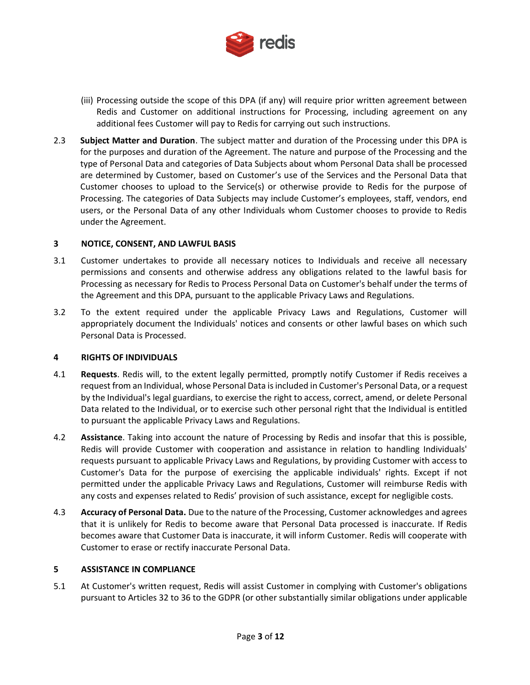

- (iii) Processing outside the scope of this DPA (if any) will require prior written agreement between Redis and Customer on additional instructions for Processing, including agreement on any additional fees Customer will pay to Redis for carrying out such instructions.
- <span id="page-2-0"></span>2.3 **Subject Matter and Duration**. The subject matter and duration of the Processing under this DPA is for the purposes and duration of the Agreement. The nature and purpose of the Processing and the type of Personal Data and categories of Data Subjects about whom Personal Data shall be processed are determined by Customer, based on Customer's use of the Services and the Personal Data that Customer chooses to upload to the Service(s) or otherwise provide to Redis for the purpose of Processing. The categories of Data Subjects may include Customer's employees, staff, vendors, end users, or the Personal Data of any other Individuals whom Customer chooses to provide to Redis under the Agreement.

# **3 NOTICE, CONSENT, AND LAWFUL BASIS**

- 3.1 Customer undertakes to provide all necessary notices to Individuals and receive all necessary permissions and consents and otherwise address any obligations related to the lawful basis for Processing as necessary for Redis to Process Personal Data on Customer's behalf under the terms of the Agreement and this DPA, pursuant to the applicable Privacy Laws and Regulations.
- 3.2 To the extent required under the applicable Privacy Laws and Regulations, Customer will appropriately document the Individuals' notices and consents or other lawful bases on which such Personal Data is Processed.

# **4 RIGHTS OF INDIVIDUALS**

- 4.1 **Requests**. Redis will, to the extent legally permitted, promptly notify Customer if Redis receives a request from an Individual, whose Personal Data is included in Customer's Personal Data, or a request by the Individual's legal guardians, to exercise the right to access, correct, amend, or delete Personal Data related to the Individual, or to exercise such other personal right that the Individual is entitled to pursuant the applicable Privacy Laws and Regulations.
- 4.2 **Assistance**. Taking into account the nature of Processing by Redis and insofar that this is possible, Redis will provide Customer with cooperation and assistance in relation to handling Individuals' requests pursuant to applicable Privacy Laws and Regulations, by providing Customer with access to Customer's Data for the purpose of exercising the applicable individuals' rights. Except if not permitted under the applicable Privacy Laws and Regulations, Customer will reimburse Redis with any costs and expenses related to Redis' provision of such assistance, except for negligible costs.
- 4.3 **Accuracy of Personal Data.** Due to the nature of the Processing, Customer acknowledges and agrees that it is unlikely for Redis to become aware that Personal Data processed is inaccurate. If Redis becomes aware that Customer Data is inaccurate, it will inform Customer. Redis will cooperate with Customer to erase or rectify inaccurate Personal Data.

# **5 ASSISTANCE IN COMPLIANCE**

5.1 At Customer's written request, Redis will assist Customer in complying with Customer's obligations pursuant to Articles 32 to 36 to the GDPR (or other substantially similar obligations under applicable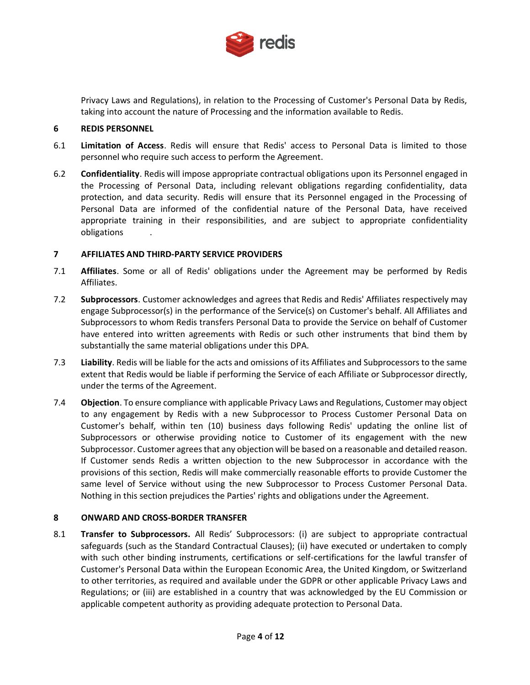

Privacy Laws and Regulations), in relation to the Processing of Customer's Personal Data by Redis, taking into account the nature of Processing and the information available to Redis.

#### **6 REDIS PERSONNEL**

- 6.1 **Limitation of Access**. Redis will ensure that Redis' access to Personal Data is limited to those personnel who require such access to perform the Agreement.
- 6.2 **Confidentiality**. Redis will impose appropriate contractual obligations upon its Personnel engaged in the Processing of Personal Data, including relevant obligations regarding confidentiality, data protection, and data security. Redis will ensure that its Personnel engaged in the Processing of Personal Data are informed of the confidential nature of the Personal Data, have received appropriate training in their responsibilities, and are subject to appropriate confidentiality obligations .

#### **7 AFFILIATES AND THIRD-PARTY SERVICE PROVIDERS**

- 7.1 **Affiliates**. Some or all of Redis' obligations under the Agreement may be performed by Redis Affiliates.
- 7.2 **Subprocessors**. Customer acknowledges and agrees that Redis and Redis' Affiliates respectively may engage Subprocessor(s) in the performance of the Service(s) on Customer's behalf. All Affiliates and Subprocessors to whom Redis transfers Personal Data to provide the Service on behalf of Customer have entered into written agreements with Redis or such other instruments that bind them by substantially the same material obligations under this DPA.
- 7.3 **Liability**. Redis will be liable for the acts and omissions of its Affiliates and Subprocessors to the same extent that Redis would be liable if performing the Service of each Affiliate or Subprocessor directly, under the terms of the Agreement.
- 7.4 **Objection**. To ensure compliance with applicable Privacy Laws and Regulations, Customer may object to any engagement by Redis with a new Subprocessor to Process Customer Personal Data on Customer's behalf, within ten (10) business days following Redis' updating the online list of Subprocessors or otherwise providing notice to Customer of its engagement with the new Subprocessor. Customer agrees that any objection will be based on a reasonable and detailed reason. If Customer sends Redis a written objection to the new Subprocessor in accordance with the provisions of this section, Redis will make commercially reasonable efforts to provide Customer the same level of Service without using the new Subprocessor to Process Customer Personal Data. Nothing in this section prejudices the Parties' rights and obligations under the Agreement.

# **8 ONWARD AND CROSS-BORDER TRANSFER**

8.1 **Transfer to Subprocessors.** All Redis' Subprocessors: (i) are subject to appropriate contractual safeguards (such as the Standard Contractual Clauses); (ii) have executed or undertaken to comply with such other binding instruments, certifications or self-certifications for the lawful transfer of Customer's Personal Data within the European Economic Area, the United Kingdom, or Switzerland to other territories, as required and available under the GDPR or other applicable Privacy Laws and Regulations; or (iii) are established in a country that was acknowledged by the EU Commission or applicable competent authority as providing adequate protection to Personal Data.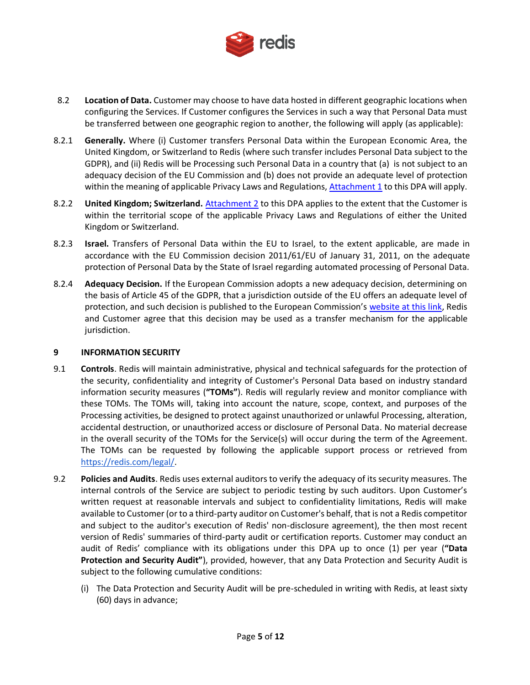

- 8.2 **Location of Data.** Customer may choose to have data hosted in different geographic locations when configuring the Services. If Customer configures the Services in such a way that Personal Data must be transferred between one geographic region to another, the following will apply (as applicable):
- 8.2.1 **Generally.** Where (i) Customer transfers Personal Data within the European Economic Area, the United Kingdom, or Switzerland to Redis (where such transfer includes Personal Data subject to the GDPR), and (ii) Redis will be Processing such Personal Data in a country that (a) is not subject to an adequacy decision of the EU Commission and (b) does not provide an adequate level of protection within the meaning of applicable Privacy Laws and Regulations[, Attachment 1](#page-9-0) to this DPA will apply.
- 8.2.2 **United Kingdom; Switzerland.** [Attachment 2](#page-11-0) to this DPA applies to the extent that the Customer is within the territorial scope of the applicable Privacy Laws and Regulations of either the United Kingdom or Switzerland.
- 8.2.3 **Israel.** Transfers of Personal Data within the EU to Israel, to the extent applicable, are made in accordance with the EU Commission decision 2011/61/EU of January 31, 2011, on the adequate protection of Personal Data by the State of Israel regarding automated processing of Personal Data.
- 8.2.4 **Adequacy Decision.** If the European Commission adopts a new adequacy decision, determining on the basis of Article 45 of the GDPR, that a jurisdiction outside of the EU offers an adequate level of protection, and such decision is published to the European Commission's [website at this link,](https://ec.europa.eu/info/law/law-topic/data-protection/international-dimension-data-protection/adequacy-decisions_en) Redis and Customer agree that this decision may be used as a transfer mechanism for the applicable jurisdiction.

# **9 INFORMATION SECURITY**

- 9.1 **Controls**. Redis will maintain administrative, physical and technical safeguards for the protection of the security, confidentiality and integrity of Customer's Personal Data based on industry standard information security measures (**"TOMs"**). Redis will regularly review and monitor compliance with these TOMs. The TOMs will, taking into account the nature, scope, context, and purposes of the Processing activities, be designed to protect against unauthorized or unlawful Processing, alteration, accidental destruction, or unauthorized access or disclosure of Personal Data. No material decrease in the overall security of the TOMs for the Service(s) will occur during the term of the Agreement. The TOMs can be requested by following the applicable support process or retrieved from [https://redis.com/legal/.](https://redis.com/legal/)
- 9.2 **Policies and Audits**. Redis uses external auditors to verify the adequacy of its security measures. The internal controls of the Service are subject to periodic testing by such auditors. Upon Customer's written request at reasonable intervals and subject to confidentiality limitations, Redis will make available to Customer (or to a third-party auditor on Customer's behalf, that is not a Redis competitor and subject to the auditor's execution of Redis' non-disclosure agreement), the then most recent version of Redis' summaries of third-party audit or certification reports. Customer may conduct an audit of Redis' compliance with its obligations under this DPA up to once (1) per year (**"Data Protection and Security Audit"**), provided, however, that any Data Protection and Security Audit is subject to the following cumulative conditions:
	- (i) The Data Protection and Security Audit will be pre-scheduled in writing with Redis, at least sixty (60) days in advance;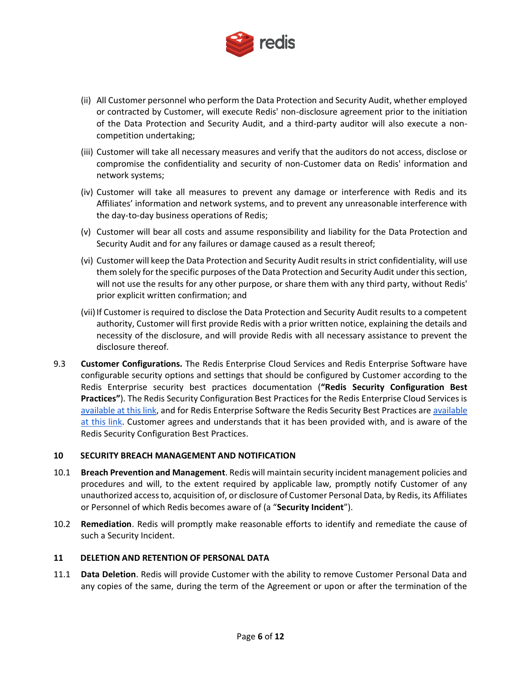

- (ii) All Customer personnel who perform the Data Protection and Security Audit, whether employed or contracted by Customer, will execute Redis' non-disclosure agreement prior to the initiation of the Data Protection and Security Audit, and a third-party auditor will also execute a noncompetition undertaking;
- (iii) Customer will take all necessary measures and verify that the auditors do not access, disclose or compromise the confidentiality and security of non-Customer data on Redis' information and network systems;
- (iv) Customer will take all measures to prevent any damage or interference with Redis and its Affiliates' information and network systems, and to prevent any unreasonable interference with the day-to-day business operations of Redis;
- (v) Customer will bear all costs and assume responsibility and liability for the Data Protection and Security Audit and for any failures or damage caused as a result thereof;
- (vi) Customer will keep the Data Protection and Security Audit results in strict confidentiality, will use them solely for the specific purposes of the Data Protection and Security Audit under this section, will not use the results for any other purpose, or share them with any third party, without Redis' prior explicit written confirmation; and
- (vii) If Customer is required to disclose the Data Protection and Security Audit results to a competent authority, Customer will first provide Redis with a prior written notice, explaining the details and necessity of the disclosure, and will provide Redis with all necessary assistance to prevent the disclosure thereof.
- 9.3 **Customer Configurations.** The Redis Enterprise Cloud Services and Redis Enterprise Software have configurable security options and settings that should be configured by Customer according to the Redis Enterprise security best practices documentation (**"Redis Security Configuration Best Practices"**). The Redis Security Configuration Best Practices for the Redis Enterprise Cloud Services is [available at this link,](https://docs.redis.com/latest/rc/security/) and for Redis Enterprise Software the Redis Security Best Practices ar[e available](https://docs.redis.com/latest/rs/security/)  [at this link.](https://docs.redis.com/latest/rs/security/) Customer agrees and understands that it has been provided with, and is aware of the Redis Security Configuration Best Practices.

# **10 SECURITY BREACH MANAGEMENT AND NOTIFICATION**

- 10.1 **Breach Prevention and Management**. Redis will maintain security incident management policies and procedures and will, to the extent required by applicable law, promptly notify Customer of any unauthorized access to, acquisition of, or disclosure of Customer Personal Data, by Redis, its Affiliates or Personnel of which Redis becomes aware of (a "**Security Incident**").
- 10.2 **Remediation**. Redis will promptly make reasonable efforts to identify and remediate the cause of such a Security Incident.

# **11 DELETION AND RETENTION OF PERSONAL DATA**

11.1 **Data Deletion**. Redis will provide Customer with the ability to remove Customer Personal Data and any copies of the same, during the term of the Agreement or upon or after the termination of the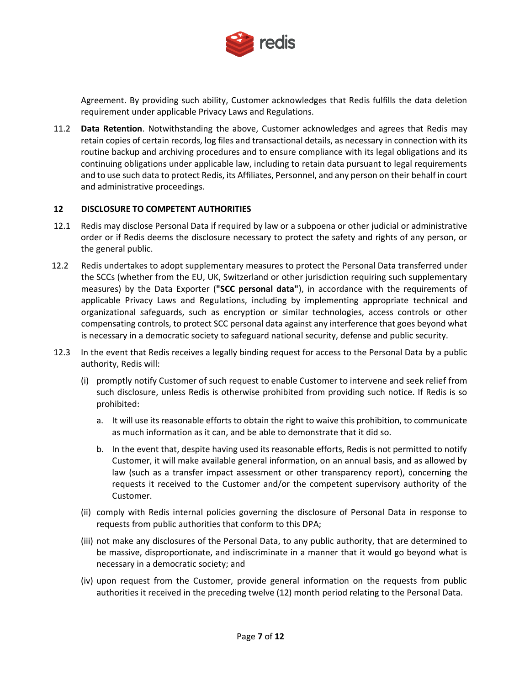

Agreement. By providing such ability, Customer acknowledges that Redis fulfills the data deletion requirement under applicable Privacy Laws and Regulations.

11.2 **Data Retention**. Notwithstanding the above, Customer acknowledges and agrees that Redis may retain copies of certain records, log files and transactional details, as necessary in connection with its routine backup and archiving procedures and to ensure compliance with its legal obligations and its continuing obligations under applicable law, including to retain data pursuant to legal requirements and to use such data to protect Redis, its Affiliates, Personnel, and any person on their behalf in court and administrative proceedings.

# **12 DISCLOSURE TO COMPETENT AUTHORITIES**

- 12.1 Redis may disclose Personal Data if required by law or a subpoena or other judicial or administrative order or if Redis deems the disclosure necessary to protect the safety and rights of any person, or the general public.
- 12.2 Redis undertakes to adopt supplementary measures to protect the Personal Data transferred under the SCCs (whether from the EU, UK, Switzerland or other jurisdiction requiring such supplementary measures) by the Data Exporter (**"SCC personal data"**), in accordance with the requirements of applicable Privacy Laws and Regulations, including by implementing appropriate technical and organizational safeguards, such as encryption or similar technologies, access controls or other compensating controls, to protect SCC personal data against any interference that goes beyond what is necessary in a democratic society to safeguard national security, defense and public security.
- 12.3 In the event that Redis receives a legally binding request for access to the Personal Data by a public authority, Redis will:
	- (i) promptly notify Customer of such request to enable Customer to intervene and seek relief from such disclosure, unless Redis is otherwise prohibited from providing such notice. If Redis is so prohibited:
		- a. It will use its reasonable efforts to obtain the right to waive this prohibition, to communicate as much information as it can, and be able to demonstrate that it did so.
		- b. In the event that, despite having used its reasonable efforts, Redis is not permitted to notify Customer, it will make available general information, on an annual basis, and as allowed by law (such as a transfer impact assessment or other transparency report), concerning the requests it received to the Customer and/or the competent supervisory authority of the Customer.
	- (ii) comply with Redis internal policies governing the disclosure of Personal Data in response to requests from public authorities that conform to this DPA;
	- (iii) not make any disclosures of the Personal Data, to any public authority, that are determined to be massive, disproportionate, and indiscriminate in a manner that it would go beyond what is necessary in a democratic society; and
	- (iv) upon request from the Customer, provide general information on the requests from public authorities it received in the preceding twelve (12) month period relating to the Personal Data.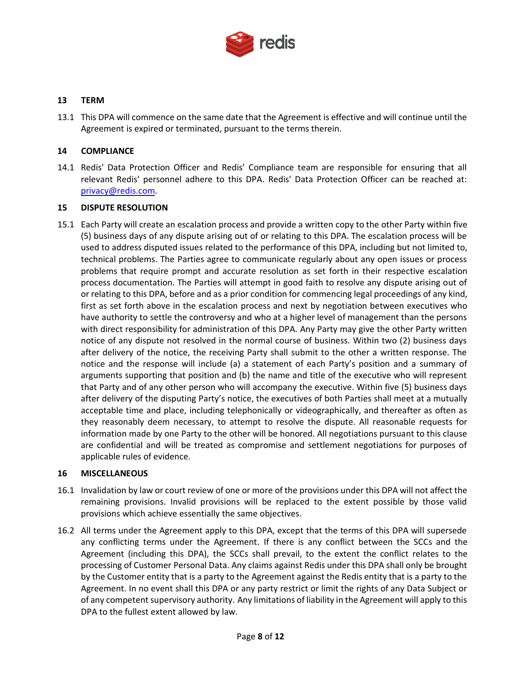

#### **13 TERM**

13.1 This DPA will commence on the same date that the Agreement is effective and will continue until the Agreement is expired or terminated, pursuant to the terms therein.

#### **14 COMPLIANCE**

14.1 Redis' Data Protection Officer and Redis' Compliance team are responsible for ensuring that all relevant Redis' personnel adhere to this DPA. Redis' Data Protection Officer can be reached at: [privacy@redis.com.](mailto:privacy@redis.com)

#### **15 DISPUTE RESOLUTION**

15.1 Each Party will create an escalation process and provide a written copy to the other Party within five (5) business days of any dispute arising out of or relating to this DPA. The escalation process will be used to address disputed issues related to the performance of this DPA, including but not limited to, technical problems. The Parties agree to communicate regularly about any open issues or process problems that require prompt and accurate resolution as set forth in their respective escalation process documentation. The Parties will attempt in good faith to resolve any dispute arising out of or relating to this DPA, before and as a prior condition for commencing legal proceedings of any kind, first as set forth above in the escalation process and next by negotiation between executives who have authority to settle the controversy and who at a higher level of management than the persons with direct responsibility for administration of this DPA. Any Party may give the other Party written notice of any dispute not resolved in the normal course of business. Within two (2) business days after delivery of the notice, the receiving Party shall submit to the other a written response. The notice and the response will include (a) a statement of each Party's position and a summary of arguments supporting that position and (b) the name and title of the executive who will represent that Party and of any other person who will accompany the executive. Within five (5) business days after delivery of the disputing Party's notice, the executives of both Parties shall meet at a mutually acceptable time and place, including telephonically or videographically, and thereafter as often as they reasonably deem necessary, to attempt to resolve the dispute. All reasonable requests for information made by one Party to the other will be honored. All negotiations pursuant to this clause are confidential and will be treated as compromise and settlement negotiations for purposes of applicable rules of evidence.

#### **16 MISCELLANEOUS**

- 16.1 Invalidation by law or court review of one or more of the provisions under this DPA will not affect the remaining provisions. Invalid provisions will be replaced to the extent possible by those valid provisions which achieve essentially the same objectives.
- 16.2 All terms under the Agreement apply to this DPA, except that the terms of this DPA will supersede any conflicting terms under the Agreement. If there is any conflict between the SCCs and the Agreement (including this DPA), the SCCs shall prevail, to the extent the conflict relates to the processing of Customer Personal Data. Any claims against Redis under this DPA shall only be brought by the Customer entity that is a party to the Agreement against the Redis entity that is a party to the Agreement. In no event shall this DPA or any party restrict or limit the rights of any Data Subject or of any competent supervisory authority. Any limitations of liability in the Agreement will apply to this DPA to the fullest extent allowed by law.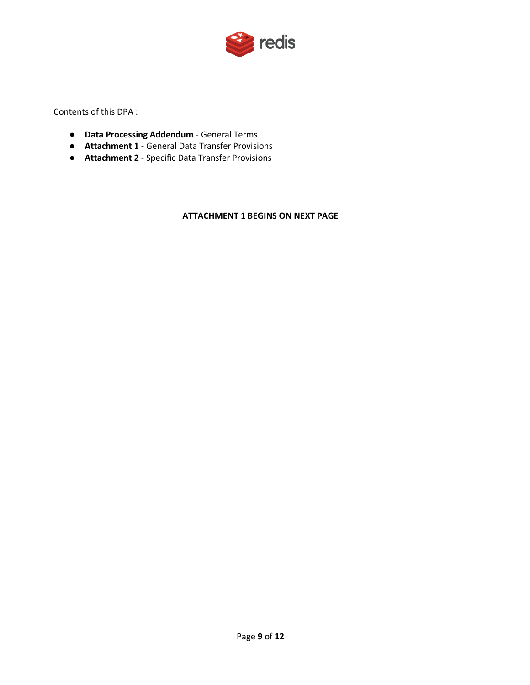

Contents of this DPA :

- **Data Processing Addendum** General Terms
- **Attachment 1** General Data Transfer Provisions
- **Attachment 2** Specific Data Transfer Provisions

**ATTACHMENT 1 BEGINS ON NEXT PAGE**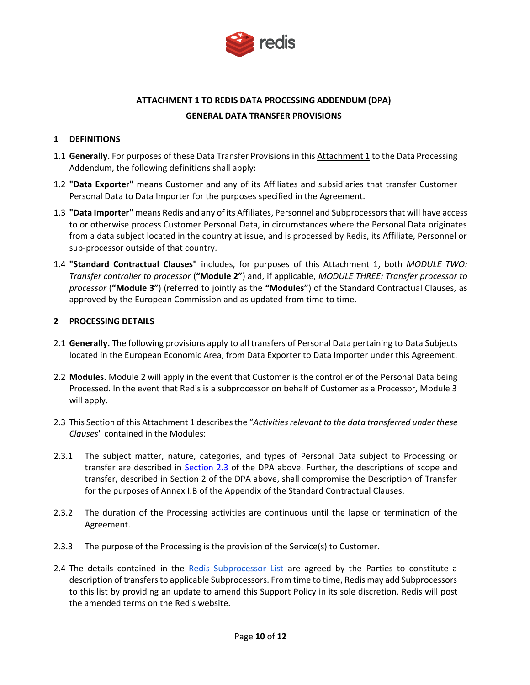

# **ATTACHMENT 1 TO REDIS DATA PROCESSING ADDENDUM (DPA) GENERAL DATA TRANSFER PROVISIONS**

# <span id="page-9-0"></span>**1 DEFINITIONS**

- 1.1 **Generally.** For purposes of these Data Transfer Provisions in this Attachment 1 to the Data Processing Addendum, the following definitions shall apply:
- 1.2 **"Data Exporter"** means Customer and any of its Affiliates and subsidiaries that transfer Customer Personal Data to Data Importer for the purposes specified in the Agreement.
- 1.3 **"Data Importer"** means Redis and any of its Affiliates, Personnel and Subprocessors that will have access to or otherwise process Customer Personal Data, in circumstances where the Personal Data originates from a data subject located in the country at issue, and is processed by Redis, its Affiliate, Personnel or sub-processor outside of that country.
- 1.4 **"Standard Contractual Clauses"** includes, for purposes of this Attachment 1, both *MODULE TWO: Transfer controller to processor* (**"Module 2"**) and, if applicable, *MODULE THREE: Transfer processor to processor* (**"Module 3"**) (referred to jointly as the **"Modules"**) of the Standard Contractual Clauses, as approved by the European Commission and as updated from time to time.

#### **2 PROCESSING DETAILS**

- 2.1 **Generally.** The following provisions apply to all transfers of Personal Data pertaining to Data Subjects located in the European Economic Area, from Data Exporter to Data Importer under this Agreement.
- 2.2 **Modules.** Module 2 will apply in the event that Customer is the controller of the Personal Data being Processed. In the event that Redis is a subprocessor on behalf of Customer as a Processor, Module 3 will apply.
- 2.3 This Section of this Attachment 1 describes the "*Activities relevant to the data transferred under these Clauses*" contained in the Modules:
- 2.3.1 The subject matter, nature, categories, and types of Personal Data subject to Processing or transfer are described in [Section 2.3](#page-2-0) of the DPA above. Further, the descriptions of scope and transfer, described in Section 2 of the DPA above, shall compromise the Description of Transfer for the purposes of Annex I.B of the Appendix of the Standard Contractual Clauses.
- 2.3.2 The duration of the Processing activities are continuous until the lapse or termination of the Agreement.
- 2.3.3 The purpose of the Processing is the provision of the Service(s) to Customer.
- 2.4 The details contained in the [Redis Subprocessor List](https://redis.com/wp-content/uploads/2022/01/redis-subprocessors.pdf) are agreed by the Parties to constitute a description of transfers to applicable Subprocessors. From time to time, Redis may add Subprocessors to this list by providing an update to amend this Support Policy in its sole discretion. Redis will post the amended terms on the Redis website.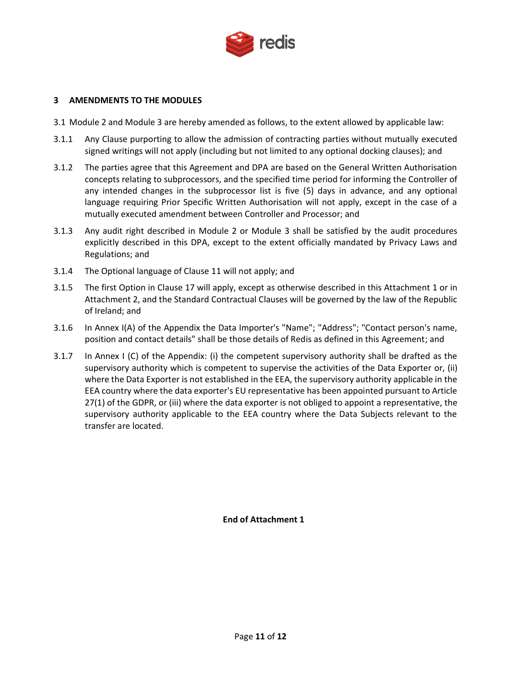

# **3 AMENDMENTS TO THE MODULES**

- 3.1 Module 2 and Module 3 are hereby amended as follows, to the extent allowed by applicable law:
- 3.1.1 Any Clause purporting to allow the admission of contracting parties without mutually executed signed writings will not apply (including but not limited to any optional docking clauses); and
- 3.1.2 The parties agree that this Agreement and DPA are based on the General Written Authorisation concepts relating to subprocessors, and the specified time period for informing the Controller of any intended changes in the subprocessor list is five (5) days in advance, and any optional language requiring Prior Specific Written Authorisation will not apply, except in the case of a mutually executed amendment between Controller and Processor; and
- 3.1.3 Any audit right described in Module 2 or Module 3 shall be satisfied by the audit procedures explicitly described in this DPA, except to the extent officially mandated by Privacy Laws and Regulations; and
- 3.1.4 The Optional language of Clause 11 will not apply; and
- 3.1.5 The first Option in Clause 17 will apply, except as otherwise described in this Attachment 1 or in Attachment 2, and the Standard Contractual Clauses will be governed by the law of the Republic of Ireland; and
- 3.1.6 In Annex I(A) of the Appendix the Data Importer's "Name"; "Address"; "Contact person's name, position and contact details" shall be those details of Redis as defined in this Agreement; and
- 3.1.7 In Annex I (C) of the Appendix: (i) the competent supervisory authority shall be drafted as the supervisory authority which is competent to supervise the activities of the Data Exporter or, (ii) where the Data Exporter is not established in the EEA, the supervisory authority applicable in the EEA country where the data exporter's EU representative has been appointed pursuant to Article 27(1) of the GDPR, or (iii) where the data exporter is not obliged to appoint a representative, the supervisory authority applicable to the EEA country where the Data Subjects relevant to the transfer are located.

**End of Attachment 1**